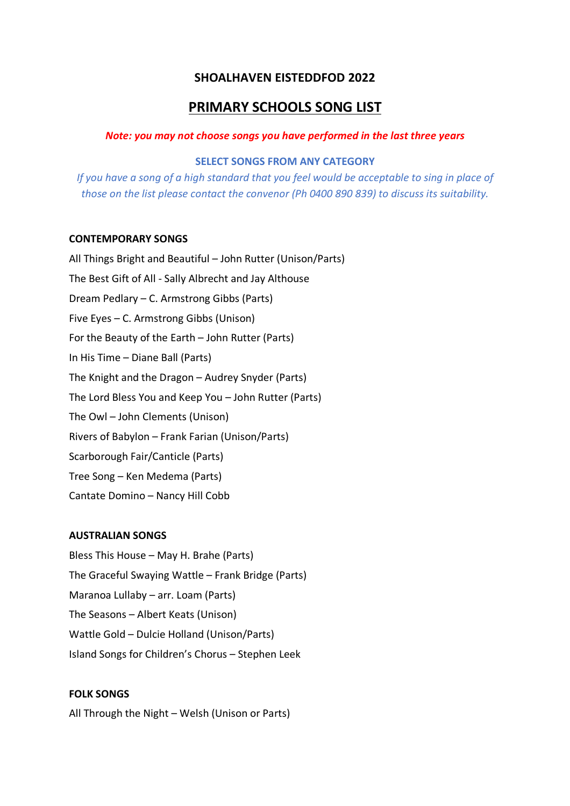# **SHOALHAVEN EISTEDDFOD 2022**

# **PRIMARY SCHOOLS SONG LIST**

#### *Note: you may not choose songs you have performed in the last three years*

#### **SELECT SONGS FROM ANY CATEGORY**

*If you have a song of a high standard that you feel would be acceptable to sing in place of those on the list please contact the convenor (Ph 0400 890 839) to discuss its suitability.*

#### **CONTEMPORARY SONGS**

All Things Bright and Beautiful – John Rutter (Unison/Parts) The Best Gift of All - Sally Albrecht and Jay Althouse Dream Pedlary – C. Armstrong Gibbs (Parts) Five Eyes – C. Armstrong Gibbs (Unison) For the Beauty of the Earth – John Rutter (Parts) In His Time – Diane Ball (Parts) The Knight and the Dragon – Audrey Snyder (Parts) The Lord Bless You and Keep You – John Rutter (Parts) The Owl – John Clements (Unison) Rivers of Babylon – Frank Farian (Unison/Parts) Scarborough Fair/Canticle (Parts) Tree Song – Ken Medema (Parts) Cantate Domino – Nancy Hill Cobb

## **AUSTRALIAN SONGS**

Bless This House – May H. Brahe (Parts) The Graceful Swaying Wattle – Frank Bridge (Parts) Maranoa Lullaby – arr. Loam (Parts) The Seasons – Albert Keats (Unison) Wattle Gold – Dulcie Holland (Unison/Parts) Island Songs for Children's Chorus – Stephen Leek

### **FOLK SONGS**

All Through the Night – Welsh (Unison or Parts)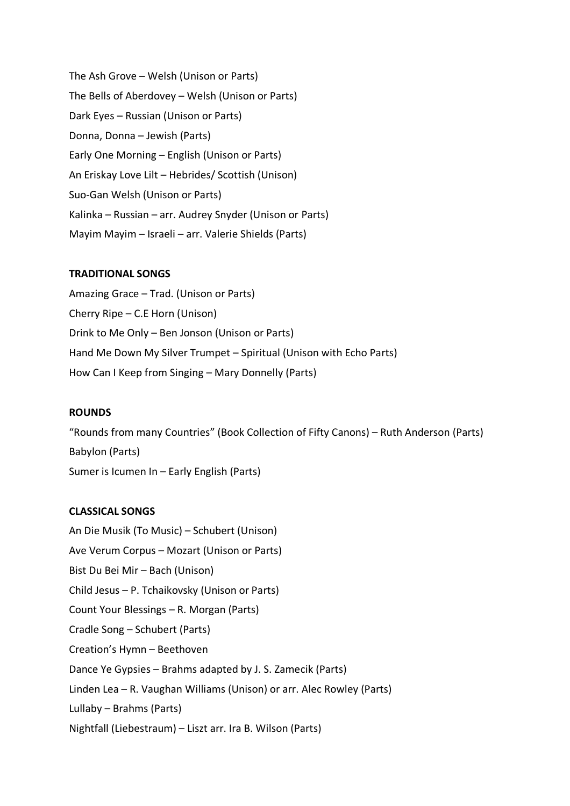The Ash Grove – Welsh (Unison or Parts) The Bells of Aberdovey – Welsh (Unison or Parts) Dark Eyes – Russian (Unison or Parts) Donna, Donna – Jewish (Parts) Early One Morning – English (Unison or Parts) An Eriskay Love Lilt – Hebrides/ Scottish (Unison) Suo-Gan Welsh (Unison or Parts) Kalinka – Russian – arr. Audrey Snyder (Unison or Parts) Mayim Mayim – Israeli – arr. Valerie Shields (Parts)

### **TRADITIONAL SONGS**

Amazing Grace – Trad. (Unison or Parts) Cherry Ripe – C.E Horn (Unison) Drink to Me Only – Ben Jonson (Unison or Parts) Hand Me Down My Silver Trumpet – Spiritual (Unison with Echo Parts) How Can I Keep from Singing – Mary Donnelly (Parts)

### **ROUNDS**

"Rounds from many Countries" (Book Collection of Fifty Canons) – Ruth Anderson (Parts) Babylon (Parts) Sumer is Icumen In – Early English (Parts)

### **CLASSICAL SONGS**

An Die Musik (To Music) – Schubert (Unison) Ave Verum Corpus – Mozart (Unison or Parts) Bist Du Bei Mir – Bach (Unison) Child Jesus – P. Tchaikovsky (Unison or Parts) Count Your Blessings – R. Morgan (Parts) Cradle Song – Schubert (Parts) Creation's Hymn – Beethoven Dance Ye Gypsies – Brahms adapted by J. S. Zamecik (Parts) Linden Lea – R. Vaughan Williams (Unison) or arr. Alec Rowley (Parts) Lullaby – Brahms (Parts) Nightfall (Liebestraum) – Liszt arr. Ira B. Wilson (Parts)